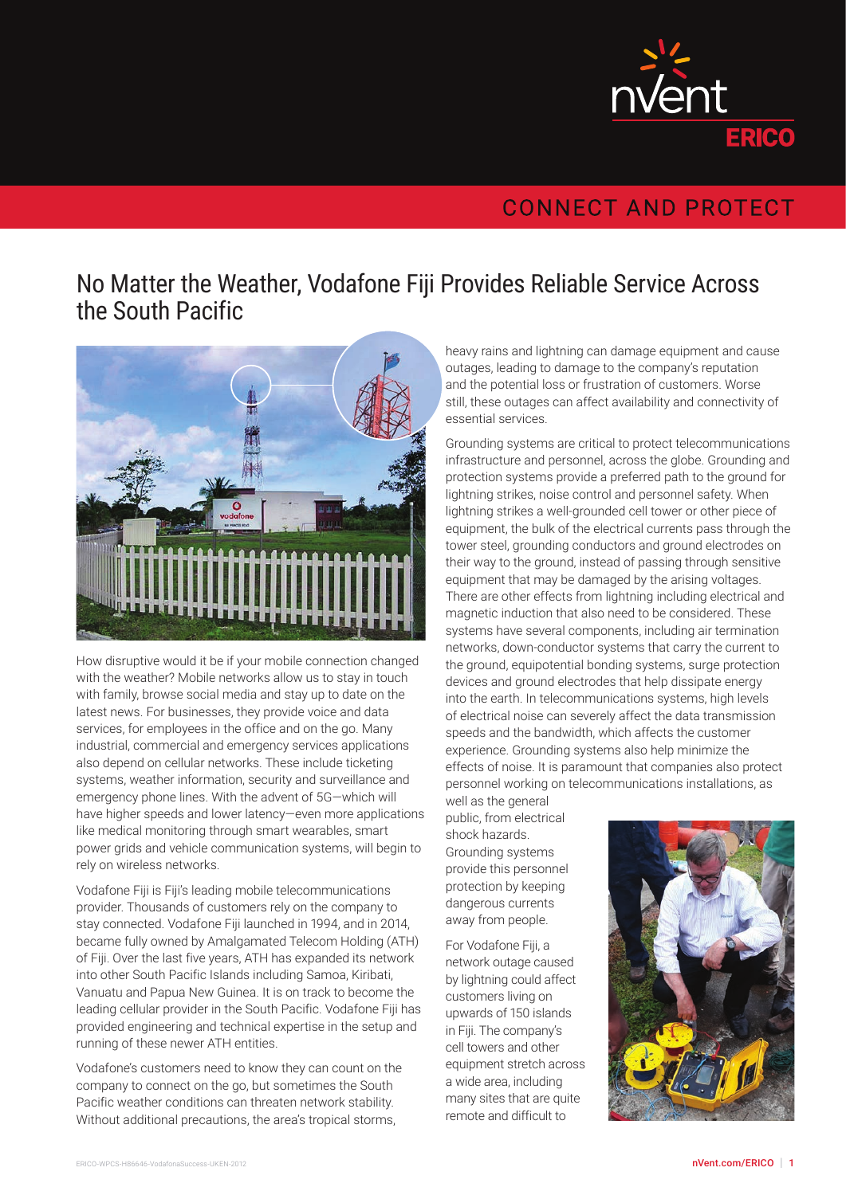

## **CONNECT AND PROTECT**

## No Matter the Weather, Vodafone Fiji Provides Reliable Service Across the South Pacific



How disruptive would it be if your mobile connection changed with the weather? Mobile networks allow us to stay in touch with family, browse social media and stay up to date on the latest news. For businesses, they provide voice and data services, for employees in the office and on the go. Many industrial, commercial and emergency services applications also depend on cellular networks. These include ticketing systems, weather information, security and surveillance and emergency phone lines. With the advent of 5G—which will have higher speeds and lower latency—even more applications like medical monitoring through smart wearables, smart power grids and vehicle communication systems, will begin to rely on wireless networks.

Vodafone Fiji is Fiji's leading mobile telecommunications provider. Thousands of customers rely on the company to stay connected. Vodafone Fiji launched in 1994, and in 2014, became fully owned by Amalgamated Telecom Holding (ATH) of Fiji. Over the last five years, ATH has expanded its network into other South Pacific Islands including Samoa, Kiribati, Vanuatu and Papua New Guinea. It is on track to become the leading cellular provider in the South Pacific. Vodafone Fiji has provided engineering and technical expertise in the setup and running of these newer ATH entities.

Vodafone's customers need to know they can count on the company to connect on the go, but sometimes the South Pacific weather conditions can threaten network stability. Without additional precautions, the area's tropical storms,

heavy rains and lightning can damage equipment and cause outages, leading to damage to the company's reputation and the potential loss or frustration of customers. Worse still, these outages can affect availability and connectivity of essential services.

Grounding systems are critical to protect telecommunications infrastructure and personnel, across the globe. Grounding and protection systems provide a preferred path to the ground for lightning strikes, noise control and personnel safety. When lightning strikes a well-grounded cell tower or other piece of equipment, the bulk of the electrical currents pass through the tower steel, grounding conductors and ground electrodes on their way to the ground, instead of passing through sensitive equipment that may be damaged by the arising voltages. There are other effects from lightning including electrical and magnetic induction that also need to be considered. These systems have several components, including air termination networks, down-conductor systems that carry the current to the ground, equipotential bonding systems, surge protection devices and ground electrodes that help dissipate energy into the earth. In telecommunications systems, high levels of electrical noise can severely affect the data transmission speeds and the bandwidth, which affects the customer experience. Grounding systems also help minimize the effects of noise. It is paramount that companies also protect personnel working on telecommunications installations, as

well as the general public, from electrical shock hazards. Grounding systems provide this personnel protection by keeping dangerous currents away from people.

For Vodafone Fiji, a network outage caused by lightning could affect customers living on upwards of 150 islands in Fiji. The company's cell towers and other equipment stretch across a wide area, including many sites that are quite remote and difficult to